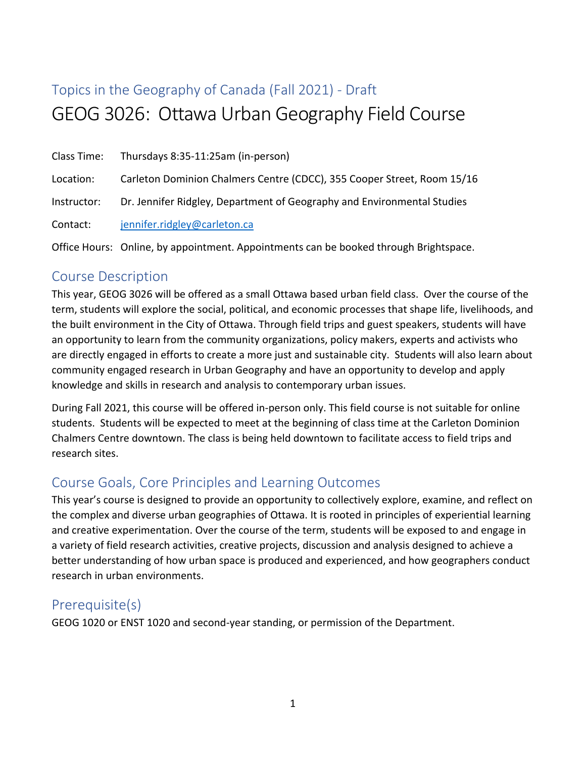# Topics in the Geography of Canada (Fall 2021) - Draft GEOG 3026: Ottawa Urban Geography Field Course

|             | Class Time: Thursdays 8:35-11:25am (in-person)                          |
|-------------|-------------------------------------------------------------------------|
| Location:   | Carleton Dominion Chalmers Centre (CDCC), 355 Cooper Street, Room 15/16 |
| Instructor: | Dr. Jennifer Ridgley, Department of Geography and Environmental Studies |
| Contact:    | jennifer.ridgley@carleton.ca                                            |

Office Hours: Online, by appointment. Appointments can be booked through Brightspace.

## Course Description

This year, GEOG 3026 will be offered as a small Ottawa based urban field class. Over the course of the term, students will explore the social, political, and economic processes that shape life, livelihoods, and the built environment in the City of Ottawa. Through field trips and guest speakers, students will have an opportunity to learn from the community organizations, policy makers, experts and activists who are directly engaged in efforts to create a more just and sustainable city. Students will also learn about community engaged research in Urban Geography and have an opportunity to develop and apply knowledge and skills in research and analysis to contemporary urban issues.

During Fall 2021, this course will be offered in-person only. This field course is not suitable for online students. Students will be expected to meet at the beginning of class time at the Carleton Dominion Chalmers Centre downtown. The class is being held downtown to facilitate access to field trips and research sites.

## Course Goals, Core Principles and Learning Outcomes

This year's course is designed to provide an opportunity to collectively explore, examine, and reflect on the complex and diverse urban geographies of Ottawa. It is rooted in principles of experiential learning and creative experimentation. Over the course of the term, students will be exposed to and engage in a variety of field research activities, creative projects, discussion and analysis designed to achieve a better understanding of how urban space is produced and experienced, and how geographers conduct research in urban environments.

## Prerequisite(s)

GEOG 1020 or ENST 1020 and second-year standing, or permission of the Department.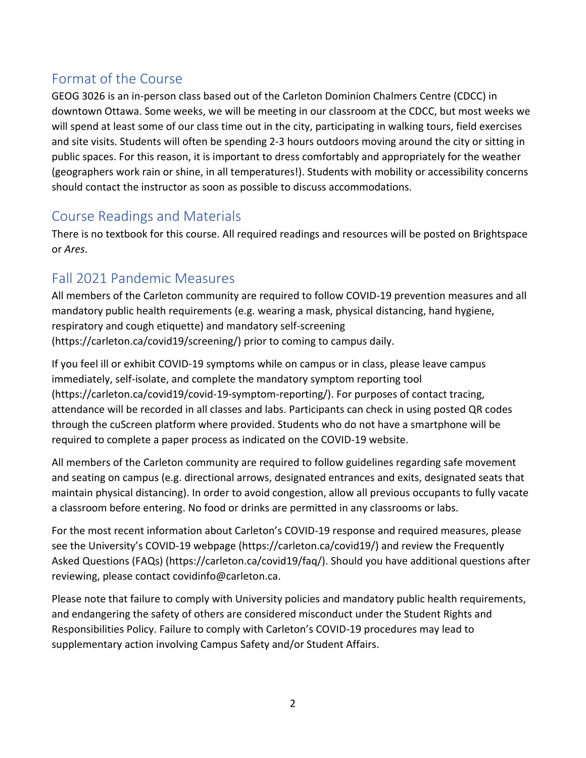# Format of the Course

GEOG 3026 is an in-person class based out of the Carleton Dominion Chalmers Centre (CDCC) in downtown Ottawa. Some weeks, we will be meeting in our classroom at the CDCC, but most weeks we will spend at least some of our class time out in the city, participating in walking tours, field exercises and site visits. Students will often be spending 2-3 hours outdoors moving around the city or sitting in public spaces. For this reason, it is important to dress comfortably and appropriately for the weather (geographers work rain or shine, in all temperatures!). Students with mobility or accessibility concerns should contact the instructor as soon as possible to discuss accommodations.

# Course Readings and Materials

There is no textbook for this course. All required readings and resources will be posted on Brightspace or *Ares*.

# Fall 2021 Pandemic Measures

All members of the Carleton community are required to follow COVID-19 prevention measures and all mandatory public health requirements (e.g. wearing a mask, physical distancing, hand hygiene, respiratory and cough etiquette) and mandatory self-screening (https://carleton.ca/covid19/screening/) prior to coming to campus daily.

If you feel ill or exhibit COVID-19 symptoms while on campus or in class, please leave campus immediately, self-isolate, and complete the mandatory symptom reporting tool (https://carleton.ca/covid19/covid-19-symptom-reporting/). For purposes of contact tracing, attendance will be recorded in all classes and labs. Participants can check in using posted QR codes through the cuScreen platform where provided. Students who do not have a smartphone will be required to complete a paper process as indicated on the COVID-19 website.

All members of the Carleton community are required to follow guidelines regarding safe movement and seating on campus (e.g. directional arrows, designated entrances and exits, designated seats that maintain physical distancing). In order to avoid congestion, allow all previous occupants to fully vacate a classroom before entering. No food or drinks are permitted in any classrooms or labs.

For the most recent information about Carleton's COVID-19 response and required measures, please see the University's COVID-19 webpage (https://carleton.ca/covid19/) and review the Frequently Asked Questions (FAQs) (https://carleton.ca/covid19/faq/). Should you have additional questions after reviewing, please contact covidinfo@carleton.ca.

Please note that failure to comply with University policies and mandatory public health requirements, and endangering the safety of others are considered misconduct under the Student Rights and Responsibilities Policy. Failure to comply with Carleton's COVID-19 procedures may lead to supplementary action involving Campus Safety and/or Student Affairs.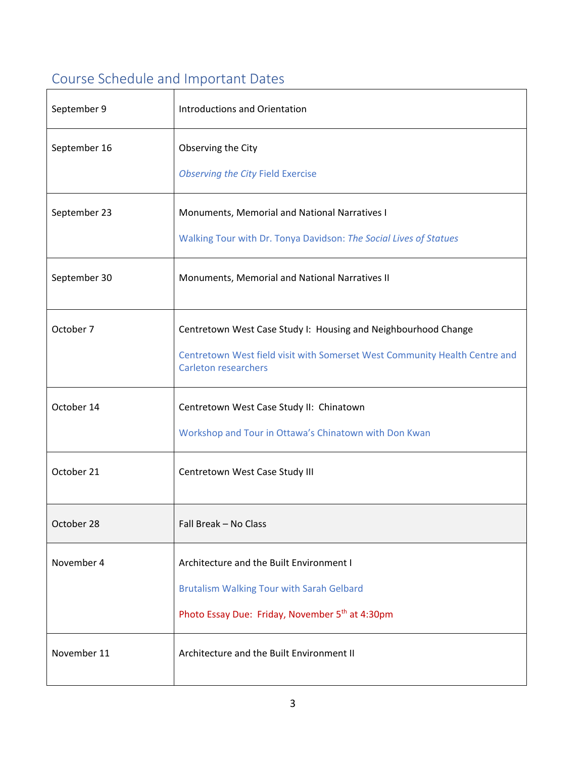# Course Schedule and Important Dates

| September 9  | <b>Introductions and Orientation</b>                                                                                                                                        |  |  |  |
|--------------|-----------------------------------------------------------------------------------------------------------------------------------------------------------------------------|--|--|--|
| September 16 | Observing the City<br><b>Observing the City Field Exercise</b>                                                                                                              |  |  |  |
| September 23 | Monuments, Memorial and National Narratives I<br>Walking Tour with Dr. Tonya Davidson: The Social Lives of Statues                                                          |  |  |  |
| September 30 | Monuments, Memorial and National Narratives II                                                                                                                              |  |  |  |
| October 7    | Centretown West Case Study I: Housing and Neighbourhood Change<br>Centretown West field visit with Somerset West Community Health Centre and<br><b>Carleton researchers</b> |  |  |  |
| October 14   | Centretown West Case Study II: Chinatown<br>Workshop and Tour in Ottawa's Chinatown with Don Kwan                                                                           |  |  |  |
| October 21   | Centretown West Case Study III                                                                                                                                              |  |  |  |
| October 28   | Fall Break - No Class                                                                                                                                                       |  |  |  |
| November 4   | Architecture and the Built Environment I<br><b>Brutalism Walking Tour with Sarah Gelbard</b><br>Photo Essay Due: Friday, November 5 <sup>th</sup> at 4:30pm                 |  |  |  |
| November 11  | Architecture and the Built Environment II                                                                                                                                   |  |  |  |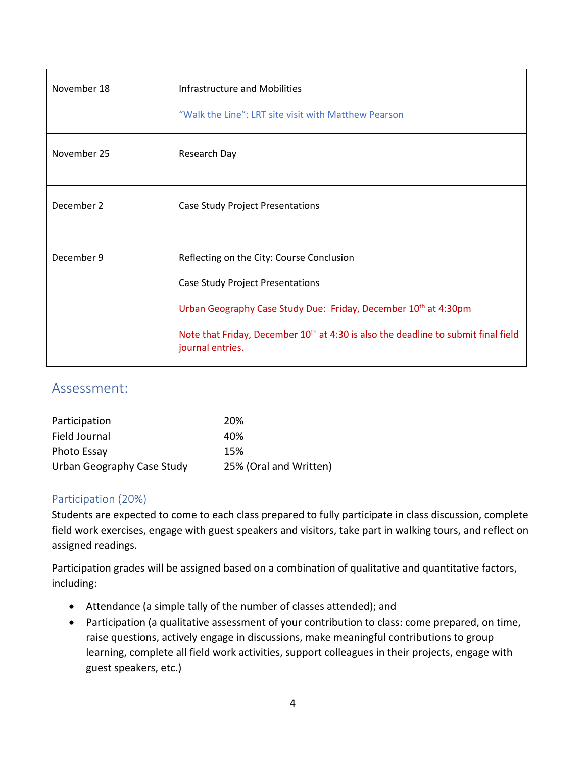| November 18 | Infrastructure and Mobilities<br>"Walk the Line": LRT site visit with Matthew Pearson                                                                                                                                                                                                     |
|-------------|-------------------------------------------------------------------------------------------------------------------------------------------------------------------------------------------------------------------------------------------------------------------------------------------|
| November 25 | Research Day                                                                                                                                                                                                                                                                              |
| December 2  | <b>Case Study Project Presentations</b>                                                                                                                                                                                                                                                   |
| December 9  | Reflecting on the City: Course Conclusion<br><b>Case Study Project Presentations</b><br>Urban Geography Case Study Due: Friday, December 10 <sup>th</sup> at 4:30pm<br>Note that Friday, December 10 <sup>th</sup> at 4:30 is also the deadline to submit final field<br>journal entries. |

## Assessment:

| Participation              | 20%                    |
|----------------------------|------------------------|
| Field Journal              | 40%                    |
| Photo Essay                | 15%                    |
| Urban Geography Case Study | 25% (Oral and Written) |

#### Participation (20%)

Students are expected to come to each class prepared to fully participate in class discussion, complete field work exercises, engage with guest speakers and visitors, take part in walking tours, and reflect on assigned readings.

Participation grades will be assigned based on a combination of qualitative and quantitative factors, including:

- Attendance (a simple tally of the number of classes attended); and
- Participation (a qualitative assessment of your contribution to class: come prepared, on time, raise questions, actively engage in discussions, make meaningful contributions to group learning, complete all field work activities, support colleagues in their projects, engage with guest speakers, etc.)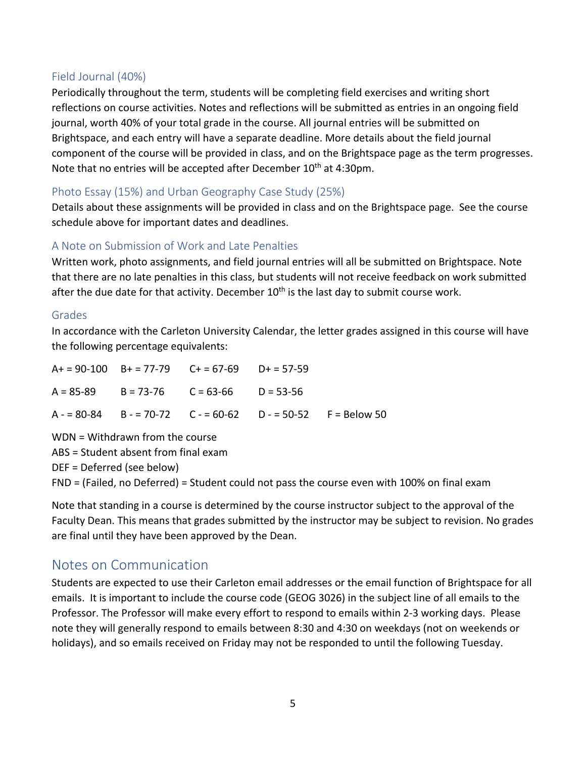### Field Journal (40%)

Periodically throughout the term, students will be completing field exercises and writing short reflections on course activities. Notes and reflections will be submitted as entries in an ongoing field journal, worth 40% of your total grade in the course. All journal entries will be submitted on Brightspace, and each entry will have a separate deadline. More details about the field journal component of the course will be provided in class, and on the Brightspace page as the term progresses. Note that no entries will be accepted after December 10<sup>th</sup> at 4:30pm.

## Photo Essay (15%) and Urban Geography Case Study (25%)

Details about these assignments will be provided in class and on the Brightspace page. See the course schedule above for important dates and deadlines.

## A Note on Submission of Work and Late Penalties

Written work, photo assignments, and field journal entries will all be submitted on Brightspace. Note that there are no late penalties in this class, but students will not receive feedback on work submitted after the due date for that activity. December  $10<sup>th</sup>$  is the last day to submit course work.

#### Grades

In accordance with the Carleton University Calendar, the letter grades assigned in this course will have the following percentage equivalents:

|  | $A+ = 90-100$ $B+ = 77-79$ $C+ = 67-69$ $D+ = 57-59$ |                                                              |
|--|------------------------------------------------------|--------------------------------------------------------------|
|  | $A = 85-89$ $B = 73-76$ $C = 63-66$ $D = 53-56$      |                                                              |
|  |                                                      | $A - 80-84$ B - = 70-72 C - = 60-62 D - = 50-52 F = Below 50 |

WDN = Withdrawn from the course

ABS = Student absent from final exam

DEF = Deferred (see below)

FND = (Failed, no Deferred) = Student could not pass the course even with 100% on final exam

Note that standing in a course is determined by the course instructor subject to the approval of the Faculty Dean. This means that grades submitted by the instructor may be subject to revision. No grades are final until they have been approved by the Dean.

## Notes on Communication

Students are expected to use their Carleton email addresses or the email function of Brightspace for all emails. It is important to include the course code (GEOG 3026) in the subject line of all emails to the Professor. The Professor will make every effort to respond to emails within 2-3 working days. Please note they will generally respond to emails between 8:30 and 4:30 on weekdays (not on weekends or holidays), and so emails received on Friday may not be responded to until the following Tuesday.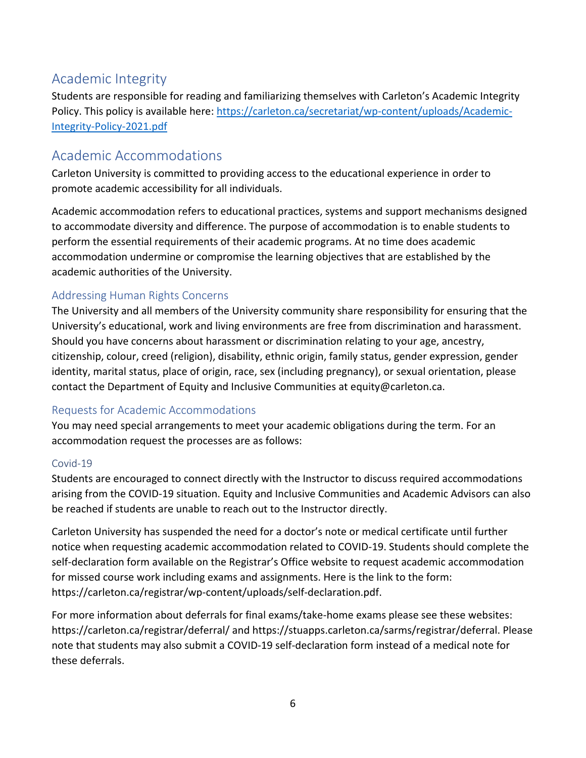# Academic Integrity

Students are responsible for reading and familiarizing themselves with Carleton's Academic Integrity Policy. This policy is available here: [https://carleton.ca/secretariat/wp-content/uploads/Academic-](https://carleton.ca/secretariat/wp-content/uploads/Academic-Integrity-Policy-2021.pdf)[Integrity-Policy-2021.pdf](https://carleton.ca/secretariat/wp-content/uploads/Academic-Integrity-Policy-2021.pdf)

## Academic Accommodations

Carleton University is committed to providing access to the educational experience in order to promote academic accessibility for all individuals.

Academic accommodation refers to educational practices, systems and support mechanisms designed to accommodate diversity and difference. The purpose of accommodation is to enable students to perform the essential requirements of their academic programs. At no time does academic accommodation undermine or compromise the learning objectives that are established by the academic authorities of the University.

## Addressing Human Rights Concerns

The University and all members of the University community share responsibility for ensuring that the University's educational, work and living environments are free from discrimination and harassment. Should you have concerns about harassment or discrimination relating to your age, ancestry, citizenship, colour, creed (religion), disability, ethnic origin, family status, gender expression, gender identity, marital status, place of origin, race, sex (including pregnancy), or sexual orientation, please contact the Department of Equity and Inclusive Communities at equity@carleton.ca.

#### Requests for Academic Accommodations

You may need special arrangements to meet your academic obligations during the term. For an accommodation request the processes are as follows:

#### Covid-19

Students are encouraged to connect directly with the Instructor to discuss required accommodations arising from the COVID-19 situation. Equity and Inclusive Communities and Academic Advisors can also be reached if students are unable to reach out to the Instructor directly.

Carleton University has suspended the need for a doctor's note or medical certificate until further notice when requesting academic accommodation related to COVID-19. Students should complete the self-declaration form available on the Registrar's Office website to request academic accommodation for missed course work including exams and assignments. Here is the link to the form: https://carleton.ca/registrar/wp-content/uploads/self-declaration.pdf.

For more information about deferrals for final exams/take-home exams please see these websites: https://carleton.ca/registrar/deferral/ and https://stuapps.carleton.ca/sarms/registrar/deferral. Please note that students may also submit a COVID-19 self-declaration form instead of a medical note for these deferrals.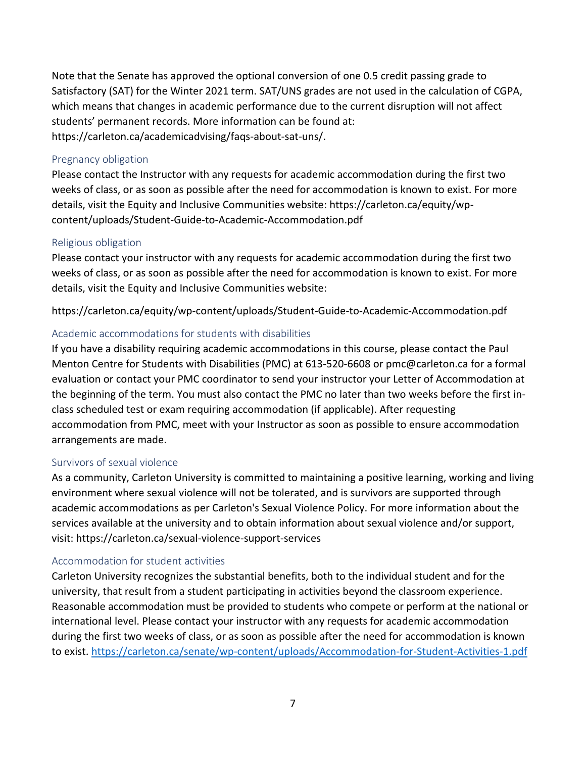Note that the Senate has approved the optional conversion of one 0.5 credit passing grade to Satisfactory (SAT) for the Winter 2021 term. SAT/UNS grades are not used in the calculation of CGPA, which means that changes in academic performance due to the current disruption will not affect students' permanent records. More information can be found at: https://carleton.ca/academicadvising/faqs-about-sat-uns/.

#### Pregnancy obligation

Please contact the Instructor with any requests for academic accommodation during the first two weeks of class, or as soon as possible after the need for accommodation is known to exist. For more details, visit the Equity and Inclusive Communities website: https://carleton.ca/equity/wpcontent/uploads/Student-Guide-to-Academic-Accommodation.pdf

#### Religious obligation

Please contact your instructor with any requests for academic accommodation during the first two weeks of class, or as soon as possible after the need for accommodation is known to exist. For more details, visit the Equity and Inclusive Communities website:

https://carleton.ca/equity/wp-content/uploads/Student-Guide-to-Academic-Accommodation.pdf

#### Academic accommodations for students with disabilities

If you have a disability requiring academic accommodations in this course, please contact the Paul Menton Centre for Students with Disabilities (PMC) at 613-520-6608 or pmc@carleton.ca for a formal evaluation or contact your PMC coordinator to send your instructor your Letter of Accommodation at the beginning of the term. You must also contact the PMC no later than two weeks before the first inclass scheduled test or exam requiring accommodation (if applicable). After requesting accommodation from PMC, meet with your Instructor as soon as possible to ensure accommodation arrangements are made.

#### Survivors of sexual violence

As a community, Carleton University is committed to maintaining a positive learning, working and living environment where sexual violence will not be tolerated, and is survivors are supported through academic accommodations as per Carleton's Sexual Violence Policy. For more information about the services available at the university and to obtain information about sexual violence and/or support, visit: https://carleton.ca/sexual-violence-support-services

#### Accommodation for student activities

Carleton University recognizes the substantial benefits, both to the individual student and for the university, that result from a student participating in activities beyond the classroom experience. Reasonable accommodation must be provided to students who compete or perform at the national or international level. Please contact your instructor with any requests for academic accommodation during the first two weeks of class, or as soon as possible after the need for accommodation is known to exist.<https://carleton.ca/senate/wp-content/uploads/Accommodation-for-Student-Activities-1.pdf>